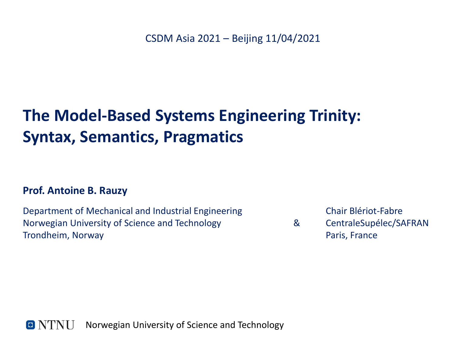## **The Model-Based Systems Engineering Trinity: Syntax, Semantics, Pragmatics**

#### **Prof. Antoine B. Rauzy**

Department of Mechanical and Industrial Engineering Norwegian University of Science and Technology Trondheim, Norway

Chair Blériot-Fabre

& CentraleSupélec/SAFRAN Paris, France

O NTNU Norwegian University of Science and Technology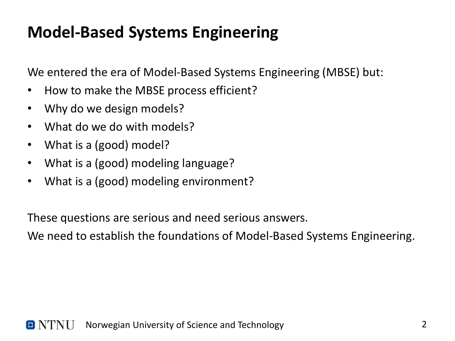## **Model-Based Systems Engineering**

We entered the era of Model-Based Systems Engineering (MBSE) but:

- How to make the MBSE process efficient?
- Why do we design models?
- What do we do with models?
- What is a (good) model?
- What is a (good) modeling language?
- What is a (good) modeling environment?

These questions are serious and need serious answers.

We need to establish the foundations of Model-Based Systems Engineering.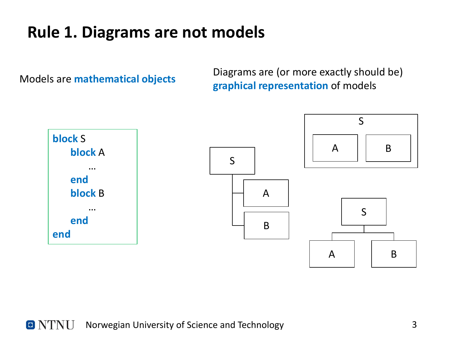#### **Rule 1. Diagrams are not models**

Models are **mathematical objects**

Diagrams are (or more exactly should be) **graphical representation** of models

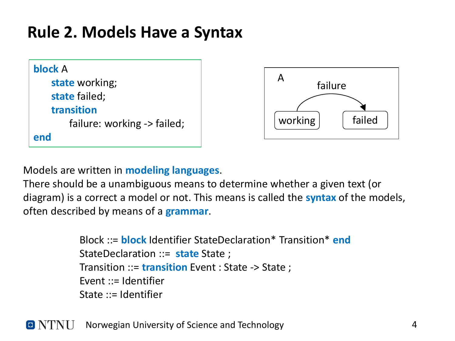#### **Rule 2. Models Have a Syntax**

| block A                     |
|-----------------------------|
| state working;              |
| state failed;               |
| transition                  |
| failure: working -> failed; |
| end                         |



Models are written in **modeling languages**.

There should be a unambiguous means to determine whether a given text (or diagram) is a correct a model or not. This means is called the **syntax** of the models, often described by means of a **grammar**.

> Block ::= **block** Identifier StateDeclaration\* Transition\* **end** StateDeclaration ::= **state** State ; Transition ::= **transition** Event : State -> State ; Event  $\mathbf{r}$  = Identifier State ::= Identifier

 $\blacksquare$  NTNH Norwegian University of Science and Technology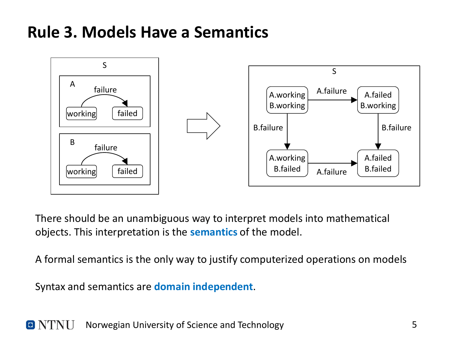#### **Rule 3. Models Have a Semantics**



There should be an unambiguous way to interpret models into mathematical objects. This interpretation is the **semantics** of the model.

A formal semantics is the only way to justify computerized operations on models

Syntax and semantics are **domain independent**.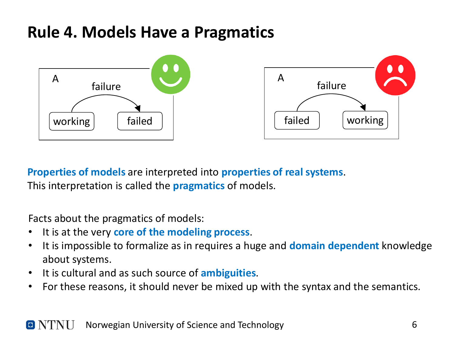#### **Rule 4. Models Have a Pragmatics**



**Properties of models** are interpreted into **properties of real systems**. This interpretation is called the **pragmatics** of models.

Facts about the pragmatics of models:

- It is at the very **core of the modeling process**.
- It is impossible to formalize as in requires a huge and **domain dependent** knowledge about systems.
- It is cultural and as such source of **ambiguities**.
- For these reasons, it should never be mixed up with the syntax and the semantics.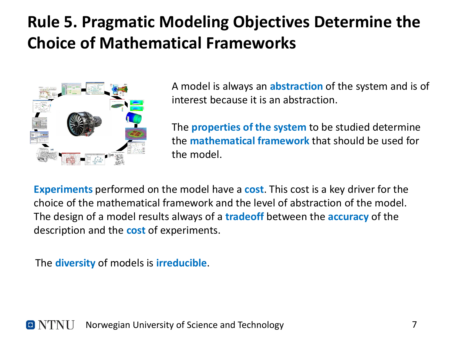## **Rule 5. Pragmatic Modeling Objectives Determine the Choice of Mathematical Frameworks**



A model is always an **abstraction** of the system and is of interest because it is an abstraction.

The **properties of the system** to be studied determine the **mathematical framework** that should be used for the model.

**Experiments** performed on the model have a **cost**. This cost is a key driver for the choice of the mathematical framework and the level of abstraction of the model. The design of a model results always of a **tradeoff** between the **accuracy** of the description and the **cost** of experiments.

The **diversity** of models is **irreducible**.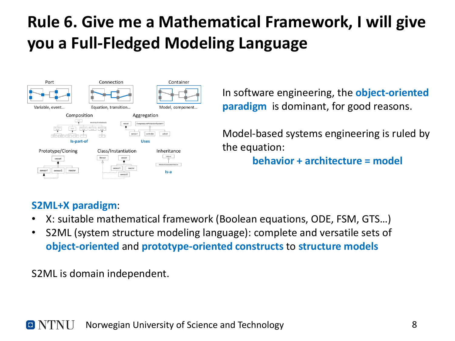# **Rule 6. Give me a Mathematical Framework, I will give you a Full-Fledged Modeling Language**



In software engineering, the **object-oriented paradigm** is dominant, for good reasons.

Model-based systems engineering is ruled by the equation: **behavior + architecture = model**

#### **S2ML+X paradigm**:

- X: suitable mathematical framework (Boolean equations, ODE, FSM, GTS…)
- S2ML (system structure modeling language): complete and versatile sets of **object-oriented** and **prototype-oriented constructs** to **structure models**

S2ML is domain independent.